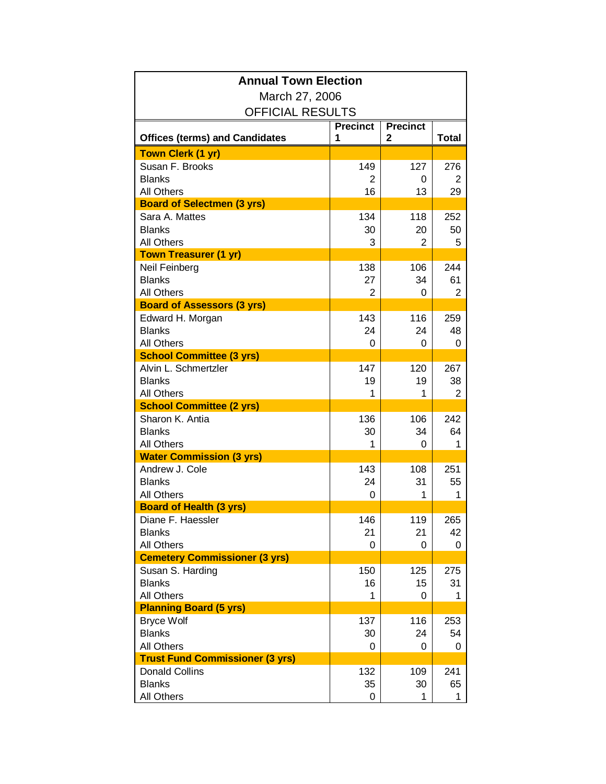| March 27, 2006<br><b>OFFICIAL RESULTS</b><br><b>Precinct</b><br><b>Precinct</b><br><b>Total</b><br><b>Offices (terms) and Candidates</b><br>2<br>1<br><b>Town Clerk (1 yr)</b><br>Susan F. Brooks<br>149<br>127<br>276<br><b>Blanks</b><br>2<br>0<br>2<br>All Others<br>16<br>13<br>29<br><b>Board of Selectmen (3 yrs)</b><br>Sara A. Mattes<br>134<br>252<br>118<br><b>Blanks</b><br>50<br>30<br>20<br><b>All Others</b><br>3<br>2<br>5<br><b>Town Treasurer (1 yr)</b><br>138<br>106<br>244<br>Neil Feinberg<br><b>Blanks</b><br>27<br>34<br>61<br><b>All Others</b><br>2<br>2<br>0<br><b>Board of Assessors (3 yrs)</b><br>143<br>Edward H. Morgan<br>116<br>259<br><b>Blanks</b><br>24<br>24<br>48<br><b>All Others</b><br>0<br>0<br>0<br><b>School Committee (3 yrs)</b><br>Alvin L. Schmertzler<br>147<br>120<br>267<br><b>Blanks</b><br>19<br>19<br>38<br><b>All Others</b><br>1<br>$\overline{2}$<br>1<br><b>School Committee (2 yrs)</b><br>Sharon K. Antia<br>136<br>242<br>106<br><b>Blanks</b><br>30<br>34<br>64<br><b>All Others</b><br>1<br>1<br>0<br><b>Water Commission (3 yrs)</b><br>143<br>Andrew J. Cole<br>251<br>108<br><b>Blanks</b><br>24<br>31<br>55<br><b>All Others</b><br>0<br>1<br>1<br><b>Board of Health (3 yrs)</b><br>Diane F. Haessler<br>146<br>119<br>265<br><b>Blanks</b><br>21<br>21<br>42<br><b>All Others</b><br>0<br>0<br>0<br><b>Cemetery Commissioner (3 yrs)</b><br>Susan S. Harding<br>150<br>125<br>275<br><b>Blanks</b><br>16<br>15<br>31<br><b>All Others</b><br>1<br>0<br>1<br><b>Planning Board (5 yrs)</b><br><b>Bryce Wolf</b><br>137<br>116<br>253<br><b>Blanks</b><br>24<br>54<br>30<br><b>All Others</b><br>0<br>0<br>0<br><b>Trust Fund Commissioner (3 yrs)</b><br><b>Donald Collins</b><br>132<br>109<br>241<br><b>Blanks</b><br>35<br>65<br>30 | <b>Annual Town Election</b> |   |   |   |  |  |
|------------------------------------------------------------------------------------------------------------------------------------------------------------------------------------------------------------------------------------------------------------------------------------------------------------------------------------------------------------------------------------------------------------------------------------------------------------------------------------------------------------------------------------------------------------------------------------------------------------------------------------------------------------------------------------------------------------------------------------------------------------------------------------------------------------------------------------------------------------------------------------------------------------------------------------------------------------------------------------------------------------------------------------------------------------------------------------------------------------------------------------------------------------------------------------------------------------------------------------------------------------------------------------------------------------------------------------------------------------------------------------------------------------------------------------------------------------------------------------------------------------------------------------------------------------------------------------------------------------------------------------------------------------------------------------------------------------------------------------------------------------------------------------------------------------|-----------------------------|---|---|---|--|--|
|                                                                                                                                                                                                                                                                                                                                                                                                                                                                                                                                                                                                                                                                                                                                                                                                                                                                                                                                                                                                                                                                                                                                                                                                                                                                                                                                                                                                                                                                                                                                                                                                                                                                                                                                                                                                            |                             |   |   |   |  |  |
|                                                                                                                                                                                                                                                                                                                                                                                                                                                                                                                                                                                                                                                                                                                                                                                                                                                                                                                                                                                                                                                                                                                                                                                                                                                                                                                                                                                                                                                                                                                                                                                                                                                                                                                                                                                                            |                             |   |   |   |  |  |
|                                                                                                                                                                                                                                                                                                                                                                                                                                                                                                                                                                                                                                                                                                                                                                                                                                                                                                                                                                                                                                                                                                                                                                                                                                                                                                                                                                                                                                                                                                                                                                                                                                                                                                                                                                                                            |                             |   |   |   |  |  |
|                                                                                                                                                                                                                                                                                                                                                                                                                                                                                                                                                                                                                                                                                                                                                                                                                                                                                                                                                                                                                                                                                                                                                                                                                                                                                                                                                                                                                                                                                                                                                                                                                                                                                                                                                                                                            |                             |   |   |   |  |  |
|                                                                                                                                                                                                                                                                                                                                                                                                                                                                                                                                                                                                                                                                                                                                                                                                                                                                                                                                                                                                                                                                                                                                                                                                                                                                                                                                                                                                                                                                                                                                                                                                                                                                                                                                                                                                            |                             |   |   |   |  |  |
|                                                                                                                                                                                                                                                                                                                                                                                                                                                                                                                                                                                                                                                                                                                                                                                                                                                                                                                                                                                                                                                                                                                                                                                                                                                                                                                                                                                                                                                                                                                                                                                                                                                                                                                                                                                                            |                             |   |   |   |  |  |
|                                                                                                                                                                                                                                                                                                                                                                                                                                                                                                                                                                                                                                                                                                                                                                                                                                                                                                                                                                                                                                                                                                                                                                                                                                                                                                                                                                                                                                                                                                                                                                                                                                                                                                                                                                                                            |                             |   |   |   |  |  |
|                                                                                                                                                                                                                                                                                                                                                                                                                                                                                                                                                                                                                                                                                                                                                                                                                                                                                                                                                                                                                                                                                                                                                                                                                                                                                                                                                                                                                                                                                                                                                                                                                                                                                                                                                                                                            |                             |   |   |   |  |  |
|                                                                                                                                                                                                                                                                                                                                                                                                                                                                                                                                                                                                                                                                                                                                                                                                                                                                                                                                                                                                                                                                                                                                                                                                                                                                                                                                                                                                                                                                                                                                                                                                                                                                                                                                                                                                            |                             |   |   |   |  |  |
|                                                                                                                                                                                                                                                                                                                                                                                                                                                                                                                                                                                                                                                                                                                                                                                                                                                                                                                                                                                                                                                                                                                                                                                                                                                                                                                                                                                                                                                                                                                                                                                                                                                                                                                                                                                                            |                             |   |   |   |  |  |
|                                                                                                                                                                                                                                                                                                                                                                                                                                                                                                                                                                                                                                                                                                                                                                                                                                                                                                                                                                                                                                                                                                                                                                                                                                                                                                                                                                                                                                                                                                                                                                                                                                                                                                                                                                                                            |                             |   |   |   |  |  |
|                                                                                                                                                                                                                                                                                                                                                                                                                                                                                                                                                                                                                                                                                                                                                                                                                                                                                                                                                                                                                                                                                                                                                                                                                                                                                                                                                                                                                                                                                                                                                                                                                                                                                                                                                                                                            |                             |   |   |   |  |  |
|                                                                                                                                                                                                                                                                                                                                                                                                                                                                                                                                                                                                                                                                                                                                                                                                                                                                                                                                                                                                                                                                                                                                                                                                                                                                                                                                                                                                                                                                                                                                                                                                                                                                                                                                                                                                            |                             |   |   |   |  |  |
|                                                                                                                                                                                                                                                                                                                                                                                                                                                                                                                                                                                                                                                                                                                                                                                                                                                                                                                                                                                                                                                                                                                                                                                                                                                                                                                                                                                                                                                                                                                                                                                                                                                                                                                                                                                                            |                             |   |   |   |  |  |
|                                                                                                                                                                                                                                                                                                                                                                                                                                                                                                                                                                                                                                                                                                                                                                                                                                                                                                                                                                                                                                                                                                                                                                                                                                                                                                                                                                                                                                                                                                                                                                                                                                                                                                                                                                                                            |                             |   |   |   |  |  |
|                                                                                                                                                                                                                                                                                                                                                                                                                                                                                                                                                                                                                                                                                                                                                                                                                                                                                                                                                                                                                                                                                                                                                                                                                                                                                                                                                                                                                                                                                                                                                                                                                                                                                                                                                                                                            |                             |   |   |   |  |  |
|                                                                                                                                                                                                                                                                                                                                                                                                                                                                                                                                                                                                                                                                                                                                                                                                                                                                                                                                                                                                                                                                                                                                                                                                                                                                                                                                                                                                                                                                                                                                                                                                                                                                                                                                                                                                            |                             |   |   |   |  |  |
|                                                                                                                                                                                                                                                                                                                                                                                                                                                                                                                                                                                                                                                                                                                                                                                                                                                                                                                                                                                                                                                                                                                                                                                                                                                                                                                                                                                                                                                                                                                                                                                                                                                                                                                                                                                                            |                             |   |   |   |  |  |
|                                                                                                                                                                                                                                                                                                                                                                                                                                                                                                                                                                                                                                                                                                                                                                                                                                                                                                                                                                                                                                                                                                                                                                                                                                                                                                                                                                                                                                                                                                                                                                                                                                                                                                                                                                                                            |                             |   |   |   |  |  |
|                                                                                                                                                                                                                                                                                                                                                                                                                                                                                                                                                                                                                                                                                                                                                                                                                                                                                                                                                                                                                                                                                                                                                                                                                                                                                                                                                                                                                                                                                                                                                                                                                                                                                                                                                                                                            |                             |   |   |   |  |  |
|                                                                                                                                                                                                                                                                                                                                                                                                                                                                                                                                                                                                                                                                                                                                                                                                                                                                                                                                                                                                                                                                                                                                                                                                                                                                                                                                                                                                                                                                                                                                                                                                                                                                                                                                                                                                            |                             |   |   |   |  |  |
|                                                                                                                                                                                                                                                                                                                                                                                                                                                                                                                                                                                                                                                                                                                                                                                                                                                                                                                                                                                                                                                                                                                                                                                                                                                                                                                                                                                                                                                                                                                                                                                                                                                                                                                                                                                                            |                             |   |   |   |  |  |
|                                                                                                                                                                                                                                                                                                                                                                                                                                                                                                                                                                                                                                                                                                                                                                                                                                                                                                                                                                                                                                                                                                                                                                                                                                                                                                                                                                                                                                                                                                                                                                                                                                                                                                                                                                                                            |                             |   |   |   |  |  |
|                                                                                                                                                                                                                                                                                                                                                                                                                                                                                                                                                                                                                                                                                                                                                                                                                                                                                                                                                                                                                                                                                                                                                                                                                                                                                                                                                                                                                                                                                                                                                                                                                                                                                                                                                                                                            |                             |   |   |   |  |  |
|                                                                                                                                                                                                                                                                                                                                                                                                                                                                                                                                                                                                                                                                                                                                                                                                                                                                                                                                                                                                                                                                                                                                                                                                                                                                                                                                                                                                                                                                                                                                                                                                                                                                                                                                                                                                            |                             |   |   |   |  |  |
|                                                                                                                                                                                                                                                                                                                                                                                                                                                                                                                                                                                                                                                                                                                                                                                                                                                                                                                                                                                                                                                                                                                                                                                                                                                                                                                                                                                                                                                                                                                                                                                                                                                                                                                                                                                                            |                             |   |   |   |  |  |
|                                                                                                                                                                                                                                                                                                                                                                                                                                                                                                                                                                                                                                                                                                                                                                                                                                                                                                                                                                                                                                                                                                                                                                                                                                                                                                                                                                                                                                                                                                                                                                                                                                                                                                                                                                                                            |                             |   |   |   |  |  |
|                                                                                                                                                                                                                                                                                                                                                                                                                                                                                                                                                                                                                                                                                                                                                                                                                                                                                                                                                                                                                                                                                                                                                                                                                                                                                                                                                                                                                                                                                                                                                                                                                                                                                                                                                                                                            |                             |   |   |   |  |  |
|                                                                                                                                                                                                                                                                                                                                                                                                                                                                                                                                                                                                                                                                                                                                                                                                                                                                                                                                                                                                                                                                                                                                                                                                                                                                                                                                                                                                                                                                                                                                                                                                                                                                                                                                                                                                            |                             |   |   |   |  |  |
|                                                                                                                                                                                                                                                                                                                                                                                                                                                                                                                                                                                                                                                                                                                                                                                                                                                                                                                                                                                                                                                                                                                                                                                                                                                                                                                                                                                                                                                                                                                                                                                                                                                                                                                                                                                                            |                             |   |   |   |  |  |
|                                                                                                                                                                                                                                                                                                                                                                                                                                                                                                                                                                                                                                                                                                                                                                                                                                                                                                                                                                                                                                                                                                                                                                                                                                                                                                                                                                                                                                                                                                                                                                                                                                                                                                                                                                                                            |                             |   |   |   |  |  |
|                                                                                                                                                                                                                                                                                                                                                                                                                                                                                                                                                                                                                                                                                                                                                                                                                                                                                                                                                                                                                                                                                                                                                                                                                                                                                                                                                                                                                                                                                                                                                                                                                                                                                                                                                                                                            |                             |   |   |   |  |  |
|                                                                                                                                                                                                                                                                                                                                                                                                                                                                                                                                                                                                                                                                                                                                                                                                                                                                                                                                                                                                                                                                                                                                                                                                                                                                                                                                                                                                                                                                                                                                                                                                                                                                                                                                                                                                            |                             |   |   |   |  |  |
|                                                                                                                                                                                                                                                                                                                                                                                                                                                                                                                                                                                                                                                                                                                                                                                                                                                                                                                                                                                                                                                                                                                                                                                                                                                                                                                                                                                                                                                                                                                                                                                                                                                                                                                                                                                                            |                             |   |   |   |  |  |
|                                                                                                                                                                                                                                                                                                                                                                                                                                                                                                                                                                                                                                                                                                                                                                                                                                                                                                                                                                                                                                                                                                                                                                                                                                                                                                                                                                                                                                                                                                                                                                                                                                                                                                                                                                                                            |                             |   |   |   |  |  |
|                                                                                                                                                                                                                                                                                                                                                                                                                                                                                                                                                                                                                                                                                                                                                                                                                                                                                                                                                                                                                                                                                                                                                                                                                                                                                                                                                                                                                                                                                                                                                                                                                                                                                                                                                                                                            |                             |   |   |   |  |  |
|                                                                                                                                                                                                                                                                                                                                                                                                                                                                                                                                                                                                                                                                                                                                                                                                                                                                                                                                                                                                                                                                                                                                                                                                                                                                                                                                                                                                                                                                                                                                                                                                                                                                                                                                                                                                            |                             |   |   |   |  |  |
|                                                                                                                                                                                                                                                                                                                                                                                                                                                                                                                                                                                                                                                                                                                                                                                                                                                                                                                                                                                                                                                                                                                                                                                                                                                                                                                                                                                                                                                                                                                                                                                                                                                                                                                                                                                                            |                             |   |   |   |  |  |
|                                                                                                                                                                                                                                                                                                                                                                                                                                                                                                                                                                                                                                                                                                                                                                                                                                                                                                                                                                                                                                                                                                                                                                                                                                                                                                                                                                                                                                                                                                                                                                                                                                                                                                                                                                                                            |                             |   |   |   |  |  |
|                                                                                                                                                                                                                                                                                                                                                                                                                                                                                                                                                                                                                                                                                                                                                                                                                                                                                                                                                                                                                                                                                                                                                                                                                                                                                                                                                                                                                                                                                                                                                                                                                                                                                                                                                                                                            |                             |   |   |   |  |  |
|                                                                                                                                                                                                                                                                                                                                                                                                                                                                                                                                                                                                                                                                                                                                                                                                                                                                                                                                                                                                                                                                                                                                                                                                                                                                                                                                                                                                                                                                                                                                                                                                                                                                                                                                                                                                            |                             |   |   |   |  |  |
|                                                                                                                                                                                                                                                                                                                                                                                                                                                                                                                                                                                                                                                                                                                                                                                                                                                                                                                                                                                                                                                                                                                                                                                                                                                                                                                                                                                                                                                                                                                                                                                                                                                                                                                                                                                                            |                             |   |   |   |  |  |
|                                                                                                                                                                                                                                                                                                                                                                                                                                                                                                                                                                                                                                                                                                                                                                                                                                                                                                                                                                                                                                                                                                                                                                                                                                                                                                                                                                                                                                                                                                                                                                                                                                                                                                                                                                                                            | <b>All Others</b>           | 0 | 1 | 1 |  |  |